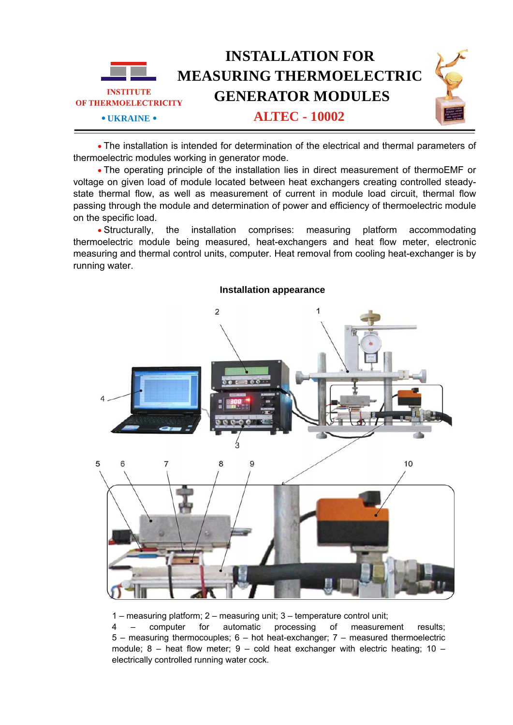

• The installation is intended for determination of the electrical and thermal parameters of thermoelectric modules working in generator mode.

• The operating principle of the installation lies in direct measurement of thermoEMF or voltage on given load of module located between heat exchangers creating controlled steadystate thermal flow, as well as measurement of current in module load circuit, thermal flow passing through the module and determination of power and efficiency of thermoelectric module on the specific load.

• Structurally, the installation comprises: measuring platform accommodating thermoelectric module being measured, heat-exchangers and heat flow meter, electronic measuring and thermal control units, computer. Heat removal from cooling heat-exchanger is by running water.



## **Installation appearance**

1 – measuring platform; 2 – measuring unit; 3 – temperature control unit;

4 – computer for automatic processing of measurement results; 5 – measuring thermocouples; 6 – hot heat-exchanger; 7 – measured thermoelectric module;  $8 -$  heat flow meter;  $9 -$  cold heat exchanger with electric heating;  $10$ electrically controlled running water cock.